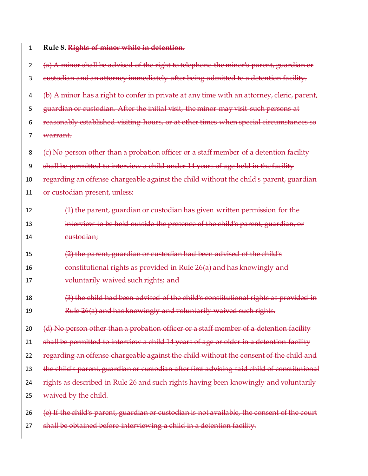| 1  | Rule 8. Rights of minor while in detention.                                                 |
|----|---------------------------------------------------------------------------------------------|
| 2  | (a) A minor shall be advised of the right to telephone the minor's parent, guardian or      |
| 3  | eustodian and an attorney immediately after being admitted to a detention facility.         |
| 4  | (b) A minor has a right to confer in private at any time with an attorney, cleric, parent,  |
| 5  | guardian or custodian. After the initial visit, the minor may visit such persons at         |
| 6  | reasonably established visiting hours, or at other times when special circumstances so      |
| 7  | <del>warrant.</del>                                                                         |
| 8  | (e) No person other than a probation officer or a staff member of a detention facility      |
| 9  | shall be permitted to interview a child under 14 years of age held in the facility          |
| 10 | regarding an offense chargeable against the child without the child's parent, guardian      |
| 11 | or custodian present, unless:                                                               |
| 12 | (1) the parent, guardian or custodian has given written permission for the                  |
| 13 | interview to be held outside the presence of the child's parent, guardian, or               |
| 14 | eustodian;                                                                                  |
| 15 | (2) the parent, guardian or custodian had been advised of the child's                       |
| 16 | constitutional rights as provided in Rule 26(a) and has knowingly and                       |
| 17 | voluntarily waived such rights; and                                                         |
| 18 | (3) the child had been advised of the child's constitutional rights as provided in          |
| 19 | Rule 26(a) and has knowingly and voluntarily waived such rights.                            |
| 20 | (d) No person other than a probation officer or a staff member of a detention facility      |
| 21 | shall be permitted to interview a child 14 years of age or older in a detention facility    |
| 22 | regarding an offense-chargeable against the child without the consent of the child and      |
| 23 | the child's parent, guardian or custodian after first advising said child of constitutional |
| 24 | rights as described in Rule 26 and such rights having been knowingly and voluntarily        |
| 25 | waived by the child.                                                                        |
| 26 | (e) If the child's parent, guardian or custodian is not available, the consent of the court |
| 27 | shall be obtained before interviewing a child in a detention facility.                      |